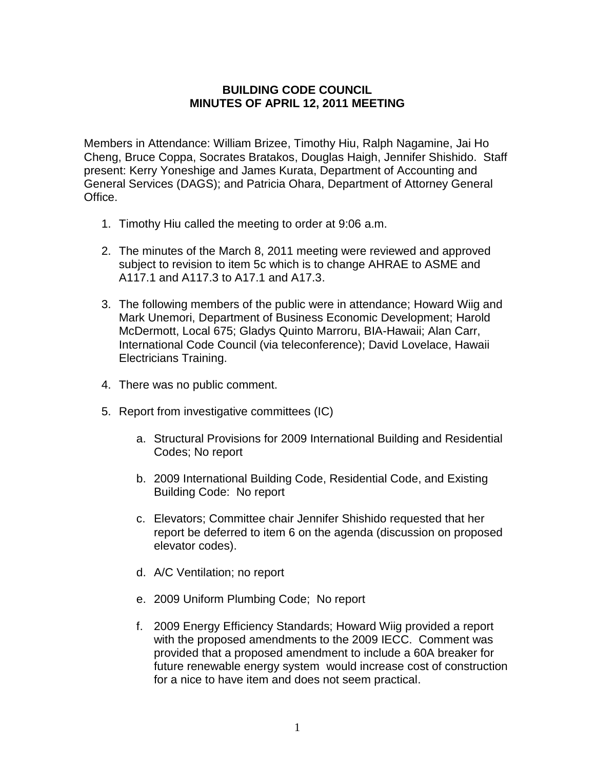## **BUILDING CODE COUNCIL MINUTES OF APRIL 12, 2011 MEETING**

Members in Attendance: William Brizee, Timothy Hiu, Ralph Nagamine, Jai Ho Cheng, Bruce Coppa, Socrates Bratakos, Douglas Haigh, Jennifer Shishido. Staff present: Kerry Yoneshige and James Kurata, Department of Accounting and General Services (DAGS); and Patricia Ohara, Department of Attorney General Office.

- 1. Timothy Hiu called the meeting to order at 9:06 a.m.
- 2. The minutes of the March 8, 2011 meeting were reviewed and approved subject to revision to item 5c which is to change AHRAE to ASME and A117.1 and A117.3 to A17.1 and A17.3.
- 3. The following members of the public were in attendance; Howard Wiig and Mark Unemori, Department of Business Economic Development; Harold McDermott, Local 675; Gladys Quinto Marroru, BIA-Hawaii; Alan Carr, International Code Council (via teleconference); David Lovelace, Hawaii Electricians Training.
- 4. There was no public comment.
- 5. Report from investigative committees (IC)
	- a. Structural Provisions for 2009 International Building and Residential Codes; No report
	- b. 2009 International Building Code, Residential Code, and Existing Building Code: No report
	- c. Elevators; Committee chair Jennifer Shishido requested that her report be deferred to item 6 on the agenda (discussion on proposed elevator codes).
	- d. A/C Ventilation; no report
	- e. 2009 Uniform Plumbing Code; No report
	- f. 2009 Energy Efficiency Standards; Howard Wiig provided a report with the proposed amendments to the 2009 IECC. Comment was provided that a proposed amendment to include a 60A breaker for future renewable energy system would increase cost of construction for a nice to have item and does not seem practical.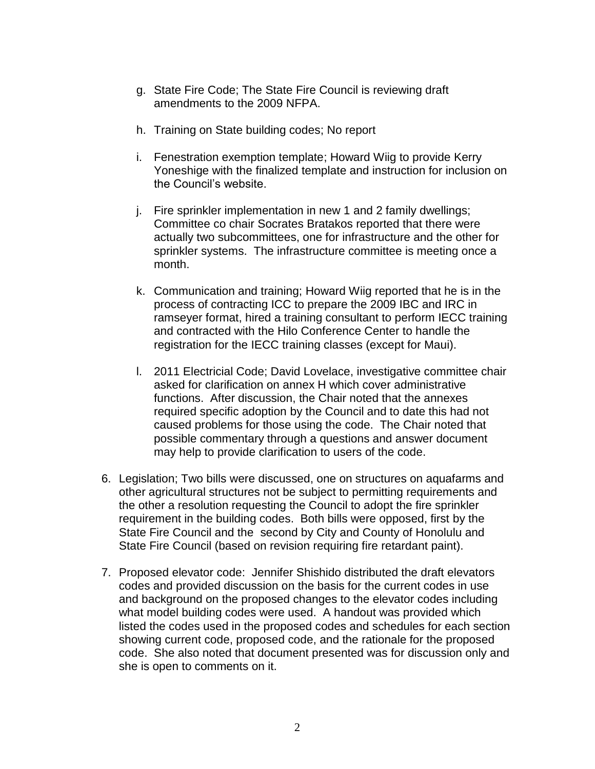- g. State Fire Code; The State Fire Council is reviewing draft amendments to the 2009 NFPA.
- h. Training on State building codes; No report
- i. Fenestration exemption template; Howard Wiig to provide Kerry Yoneshige with the finalized template and instruction for inclusion on the Council's website.
- j. Fire sprinkler implementation in new 1 and 2 family dwellings; Committee co chair Socrates Bratakos reported that there were actually two subcommittees, one for infrastructure and the other for sprinkler systems. The infrastructure committee is meeting once a month.
- k. Communication and training; Howard Wiig reported that he is in the process of contracting ICC to prepare the 2009 IBC and IRC in ramseyer format, hired a training consultant to perform IECC training and contracted with the Hilo Conference Center to handle the registration for the IECC training classes (except for Maui).
- l. 2011 Electricial Code; David Lovelace, investigative committee chair asked for clarification on annex H which cover administrative functions. After discussion, the Chair noted that the annexes required specific adoption by the Council and to date this had not caused problems for those using the code. The Chair noted that possible commentary through a questions and answer document may help to provide clarification to users of the code.
- 6. Legislation; Two bills were discussed, one on structures on aquafarms and other agricultural structures not be subject to permitting requirements and the other a resolution requesting the Council to adopt the fire sprinkler requirement in the building codes. Both bills were opposed, first by the State Fire Council and the second by City and County of Honolulu and State Fire Council (based on revision requiring fire retardant paint).
- 7. Proposed elevator code: Jennifer Shishido distributed the draft elevators codes and provided discussion on the basis for the current codes in use and background on the proposed changes to the elevator codes including what model building codes were used. A handout was provided which listed the codes used in the proposed codes and schedules for each section showing current code, proposed code, and the rationale for the proposed code. She also noted that document presented was for discussion only and she is open to comments on it.